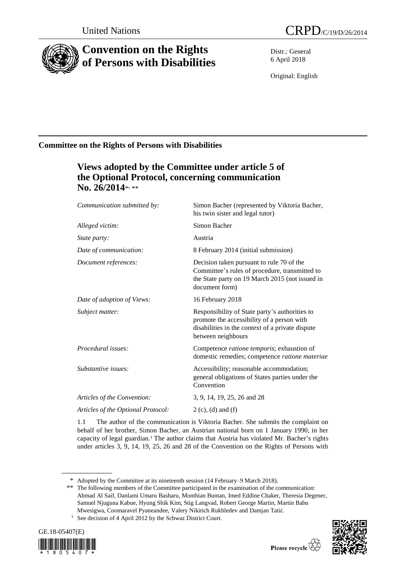

# **Convention on the Rights of Persons with Disabilities**

Distr.: General 6 April 2018

Original: English

### **Committee on the Rights of Persons with Disabilities**

### **Views adopted by the Committee under article 5 of the Optional Protocol, concerning communication** No. 26/2014\*<sub>\*</sub>\*\*

| Communication submitted by:        | Simon Bacher (represented by Viktoria Bacher,<br>his twin sister and legal tutor)                                                                                      |
|------------------------------------|------------------------------------------------------------------------------------------------------------------------------------------------------------------------|
| Alleged victim:                    | Simon Bacher                                                                                                                                                           |
| State party:                       | Austria                                                                                                                                                                |
| Date of communication:             | 8 February 2014 (initial submission)                                                                                                                                   |
| Document references:               | Decision taken pursuant to rule 70 of the<br>Committee's rules of procedure, transmitted to<br>the State party on 19 March 2015 (not issued in<br>document form)       |
| Date of adoption of Views:         | 16 February 2018                                                                                                                                                       |
| Subject matter:                    | Responsibility of State party's authorities to<br>promote the accessibility of a person with<br>disabilities in the context of a private dispute<br>between neighbours |
| Procedural issues:                 | Competence <i>ratione temporis</i> ; exhaustion of<br>domestic remedies; competence ratione materiae                                                                   |
| Substantive issues:                | Accessibility; reasonable accommodation;<br>general obligations of States parties under the<br>Convention                                                              |
| Articles of the Convention:        | 3, 9, 14, 19, 25, 26 and 28                                                                                                                                            |
| Articles of the Optional Protocol: | $2(c)$ , (d) and (f)                                                                                                                                                   |
|                                    |                                                                                                                                                                        |

1.1 The author of the communication is Viktoria Bacher. She submits the complaint on behalf of her brother, Simon Bacher, an Austrian national born on 1 January 1990, in her capacity of legal guardian.<sup>1</sup> The author claims that Austria has violated Mr. Bacher's rights under articles 3, 9, 14, 19, 25, 26 and 28 of the Convention on the Rights of Persons with

<sup>&</sup>lt;sup>1</sup> See decision of 4 April 2012 by the Schwaz District Court.





<sup>\*</sup> Adopted by the Committee at its nineteenth session (14 February–9 March 2018).

<sup>\*\*</sup> The following members of the Committee participated in the examination of the communication: Ahmad Al Saif, Danlami Umaru Basharu, Monthian Buntan[, Imed](http://www2.ohchr.org/SPdocs/CRPD/CVMembers/MariaSoledadCISTERNAS-REYES.doc) Eddine Chaker, Theresia Degener, Samuel Njuguna Kabue, Hyung Shik Kim, Stig Langvad, Robert George Martin, Martin Babu Mwesigwa, Coomaravel Pyaneandee, [Valery](http://www2.ohchr.org/SPdocs/CRPD/CVMembers/SilviaJudithQUAN-CHANG.doc) Nikitich Rukhledev and [Damjan Tatić](http://www2.ohchr.org/SPdocs/CRPD/CVMembers/DamjanTATIC.doc).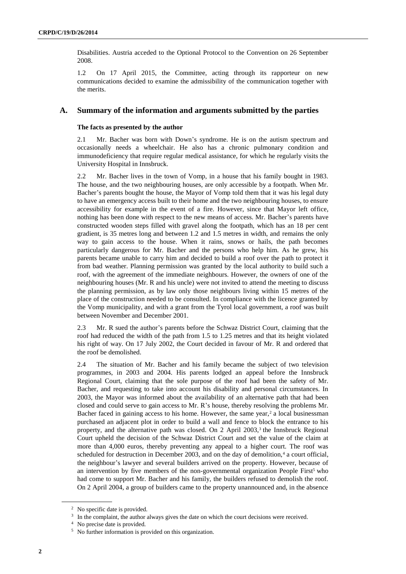Disabilities. Austria acceded to the Optional Protocol to the Convention on 26 September 2008.

1.2 On 17 April 2015, the Committee, acting through its rapporteur on new communications decided to examine the admissibility of the communication together with the merits.

#### **A. Summary of the information and arguments submitted by the parties**

#### **The facts as presented by the author**

2.1 Mr. Bacher was born with Down's syndrome. He is on the autism spectrum and occasionally needs a wheelchair. He also has a chronic pulmonary condition and immunodeficiency that require regular medical assistance, for which he regularly visits the University Hospital in Innsbruck.

2.2 Mr. Bacher lives in the town of Vomp, in a house that his family bought in 1983. The house, and the two neighbouring houses, are only accessible by a footpath. When Mr. Bacher's parents bought the house, the Mayor of Vomp told them that it was his legal duty to have an emergency access built to their home and the two neighbouring houses, to ensure accessibility for example in the event of a fire. However, since that Mayor left office, nothing has been done with respect to the new means of access. Mr. Bacher's parents have constructed wooden steps filled with gravel along the footpath, which has an 18 per cent gradient, is 35 metres long and between 1.2 and 1.5 metres in width, and remains the only way to gain access to the house. When it rains, snows or hails, the path becomes particularly dangerous for Mr. Bacher and the persons who help him. As he grew, his parents became unable to carry him and decided to build a roof over the path to protect it from bad weather. Planning permission was granted by the local authority to build such a roof, with the agreement of the immediate neighbours. However, the owners of one of the neighbouring houses (Mr. R and his uncle) were not invited to attend the meeting to discuss the planning permission, as by law only those neighbours living within 15 metres of the place of the construction needed to be consulted. In compliance with the licence granted by the Vomp municipality, and with a grant from the Tyrol local government, a roof was built between November and December 2001.

2.3 Mr. R sued the author's parents before the Schwaz District Court, claiming that the roof had reduced the width of the path from 1.5 to 1.25 metres and that its height violated his right of way. On 17 July 2002, the Court decided in favour of Mr. R and ordered that the roof be demolished.

2.4 The situation of Mr. Bacher and his family became the subject of two television programmes, in 2003 and 2004. His parents lodged an appeal before the Innsbruck Regional Court, claiming that the sole purpose of the roof had been the safety of Mr. Bacher, and requesting to take into account his disability and personal circumstances. In 2003, the Mayor was informed about the availability of an alternative path that had been closed and could serve to gain access to Mr. R's house, thereby resolving the problems Mr. Bacher faced in gaining access to his home. However, the same year,<sup>2</sup> a local businessman purchased an adjacent plot in order to build a wall and fence to block the entrance to his property, and the alternative path was closed. On 2 April 2003,<sup>3</sup> the Innsbruck Regional Court upheld the decision of the Schwaz District Court and set the value of the claim at more than 4,000 euros, thereby preventing any appeal to a higher court. The roof was scheduled for destruction in December 2003, and on the day of demolition,<sup>4</sup> a court official, the neighbour's lawyer and several builders arrived on the property. However, because of an intervention by five members of the non-governmental organization People First<sup>5</sup> who had come to support Mr. Bacher and his family, the builders refused to demolish the roof. On 2 April 2004, a group of builders came to the property unannounced and, in the absence

<sup>2</sup> No specific date is provided.

<sup>&</sup>lt;sup>3</sup> In the complaint, the author always gives the date on which the court decisions were received.

<sup>4</sup> No precise date is provided.

<sup>5</sup> No further information is provided on this organization.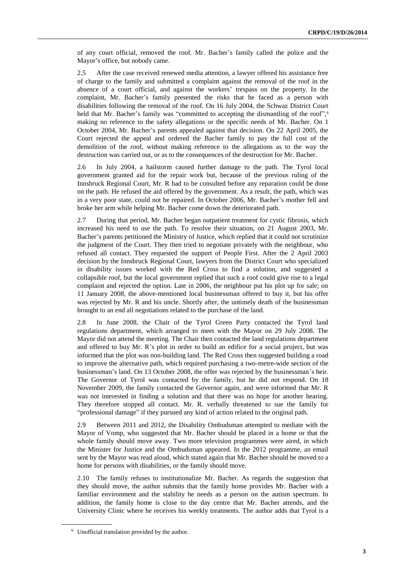of any court official, removed the roof. Mr. Bacher's family called the police and the Mayor's office, but nobody came.

2.5 After the case received renewed media attention, a lawyer offered his assistance free of charge to the family and submitted a complaint against the removal of the roof in the absence of a court official, and against the workers' trespass on the property. In the complaint, Mr. Bacher's family presented the risks that he faced as a person with disabilities following the removal of the roof. On 16 July 2004, the Schwaz District Court held that Mr. Bacher's family was "committed to accepting the dismantling of the roof", 6 making no reference to the safety allegations or the specific needs of Mr. Bacher. On 1 October 2004, Mr. Bacher's parents appealed against that decision. On 22 April 2005, the Court rejected the appeal and ordered the Bacher family to pay the full cost of the demolition of the roof, without making reference to the allegations as to the way the destruction was carried out, or as to the consequences of the destruction for Mr. Bacher.

2.6 In July 2004, a hailstorm caused further damage to the path. The Tyrol local government granted aid for the repair work but, because of the previous ruling of the Innsbruck Regional Court, Mr. R had to be consulted before any reparation could be done on the path. He refused the aid offered by the government. As a result, the path, which was in a very poor state, could not be repaired. In October 2006, Mr. Bacher's mother fell and broke her arm while helping Mr. Bacher come down the deteriorated path.

2.7 During that period, Mr. Bacher began outpatient treatment for cystic fibrosis, which increased his need to use the path. To resolve their situation, on 21 August 2003, Mr. Bacher's parents petitioned the Ministry of Justice, which replied that it could not scrutinize the judgment of the Court. They then tried to negotiate privately with the neighbour, who refused all contact. They requested the support of People First. After the 2 April 2003 decision by the Innsbruck Regional Court, lawyers from the District Court who specialized in disability issues worked with the Red Cross to find a solution, and suggested a collapsible roof, but the local government replied that such a roof could give rise to a legal complaint and rejected the option. Late in 2006, the neighbour put his plot up for sale; on 11 January 2008, the above-mentioned local businessman offered to buy it, but his offer was rejected by Mr. R and his uncle. Shortly after, the untimely death of the businessman brought to an end all negotiations related to the purchase of the land.

2.8 In June 2008, the Chair of the Tyrol Green Party contacted the Tyrol land regulations department, which arranged to meet with the Mayor on 29 July 2008. The Mayor did not attend the meeting. The Chair then contacted the land regulations department and offered to buy Mr. R's plot in order to build an edifice for a social project, but was informed that the plot was non-building land. The Red Cross then suggested building a road to improve the alternative path, which required purchasing a two-metre-wide section of the businessman's land. On 13 October 2008, the offer was rejected by the businessman's heir. The Governor of Tyrol was contacted by the family, but he did not respond. On 18 November 2009, the family contacted the Governor again, and were informed that Mr. R was not interested in finding a solution and that there was no hope for another hearing. They therefore stopped all contact. Mr. R. verbally threatened to sue the family for "professional damage" if they pursued any kind of action related to the original path.

2.9 Between 2011 and 2012, the Disability Ombudsman attempted to mediate with the Mayor of Vomp, who suggested that Mr. Bacher should be placed in a home or that the whole family should move away. Two more television programmes were aired, in which the Minister for Justice and the Ombudsman appeared. In the 2012 programme, an email sent by the Mayor was read aloud, which stated again that Mr. Bacher should be moved to a home for persons with disabilities, or the family should move.

2.10 The family refuses to institutionalize Mr. Bacher. As regards the suggestion that they should move, the author submits that the family home provides Mr. Bacher with a familiar environment and the stability he needs as a person on the autism spectrum. In addition, the family home is close to the day centre that Mr. Bacher attends, and the University Clinic where he receives his weekly treatments. The author adds that Tyrol is a

<sup>6</sup> Unofficial translation provided by the author.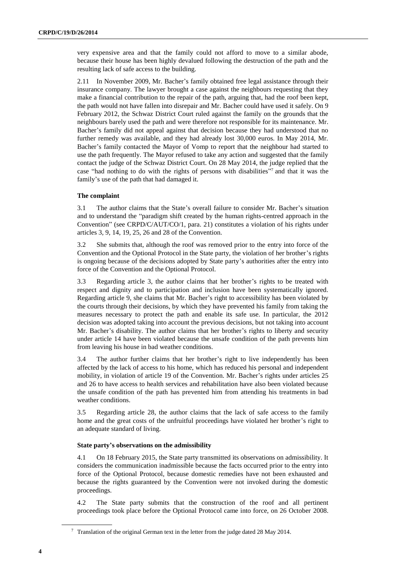very expensive area and that the family could not afford to move to a similar abode, because their house has been highly devalued following the destruction of the path and the resulting lack of safe access to the building.

2.11 In November 2009, Mr. Bacher's family obtained free legal assistance through their insurance company. The lawyer brought a case against the neighbours requesting that they make a financial contribution to the repair of the path, arguing that, had the roof been kept, the path would not have fallen into disrepair and Mr. Bacher could have used it safely. On 9 February 2012, the Schwaz District Court ruled against the family on the grounds that the neighbours barely used the path and were therefore not responsible for its maintenance. Mr. Bacher's family did not appeal against that decision because they had understood that no further remedy was available, and they had already lost 30,000 euros. In May 2014, Mr. Bacher's family contacted the Mayor of Vomp to report that the neighbour had started to use the path frequently. The Mayor refused to take any action and suggested that the family contact the judge of the Schwaz District Court. On 28 May 2014, the judge replied that the case "had nothing to do with the rights of persons with disabilities" <sup>7</sup> and that it was the family's use of the path that had damaged it.

#### **The complaint**

3.1 The author claims that the State's overall failure to consider Mr. Bacher's situation and to understand the "paradigm shift created by the human rights-centred approach in the Convention" (see CRPD/C/AUT/CO/1, para. 21) constitutes a violation of his rights under articles 3, 9, 14, 19, 25, 26 and 28 of the Convention.

3.2 She submits that, although the roof was removed prior to the entry into force of the Convention and the Optional Protocol in the State party, the violation of her brother's rights is ongoing because of the decisions adopted by State party's authorities after the entry into force of the Convention and the Optional Protocol.

3.3 Regarding article 3, the author claims that her brother's rights to be treated with respect and dignity and to participation and inclusion have been systematically ignored. Regarding article 9, she claims that Mr. Bacher's right to accessibility has been violated by the courts through their decisions, by which they have prevented his family from taking the measures necessary to protect the path and enable its safe use. In particular, the 2012 decision was adopted taking into account the previous decisions, but not taking into account Mr. Bacher's disability. The author claims that her brother's rights to liberty and security under article 14 have been violated because the unsafe condition of the path prevents him from leaving his house in bad weather conditions.

3.4 The author further claims that her brother's right to live independently has been affected by the lack of access to his home, which has reduced his personal and independent mobility, in violation of article 19 of the Convention. Mr. Bacher's rights under articles 25 and 26 to have access to health services and rehabilitation have also been violated because the unsafe condition of the path has prevented him from attending his treatments in bad weather conditions.

3.5 Regarding article 28, the author claims that the lack of safe access to the family home and the great costs of the unfruitful proceedings have violated her brother's right to an adequate standard of living.

#### **State party's observations on the admissibility**

4.1 On 18 February 2015, the State party transmitted its observations on admissibility. It considers the communication inadmissible because the facts occurred prior to the entry into force of the Optional Protocol, because domestic remedies have not been exhausted and because the rights guaranteed by the Convention were not invoked during the domestic proceedings.

4.2 The State party submits that the construction of the roof and all pertinent proceedings took place before the Optional Protocol came into force, on 26 October 2008.

<sup>&</sup>lt;sup>7</sup> Translation of the original German text in the letter from the judge dated 28 May 2014.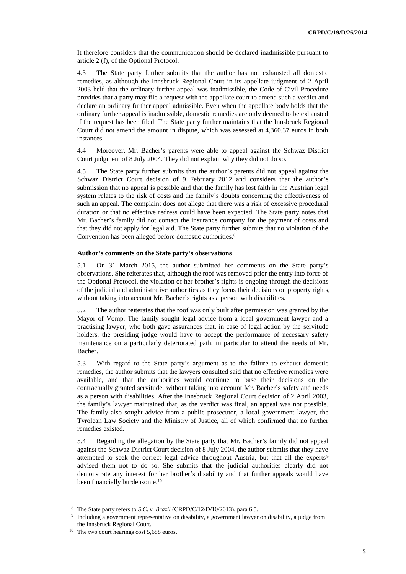It therefore considers that the communication should be declared inadmissible pursuant to article 2 (f), of the Optional Protocol.

4.3 The State party further submits that the author has not exhausted all domestic remedies, as although the Innsbruck Regional Court in its appellate judgment of 2 April 2003 held that the ordinary further appeal was inadmissible, the Code of Civil Procedure provides that a party may file a request with the appellate court to amend such a verdict and declare an ordinary further appeal admissible. Even when the appellate body holds that the ordinary further appeal is inadmissible, domestic remedies are only deemed to be exhausted if the request has been filed. The State party further maintains that the Innsbruck Regional Court did not amend the amount in dispute, which was assessed at 4,360.37 euros in both instances.

4.4 Moreover, Mr. Bacher's parents were able to appeal against the Schwaz District Court judgment of 8 July 2004. They did not explain why they did not do so.

4.5 The State party further submits that the author's parents did not appeal against the Schwaz District Court decision of 9 February 2012 and considers that the author's submission that no appeal is possible and that the family has lost faith in the Austrian legal system relates to the risk of costs and the family's doubts concerning the effectiveness of such an appeal. The complaint does not allege that there was a risk of excessive procedural duration or that no effective redress could have been expected. The State party notes that Mr. Bacher's family did not contact the insurance company for the payment of costs and that they did not apply for legal aid. The State party further submits that no violation of the Convention has been alleged before domestic authorities.<sup>8</sup>

#### **Author's comments on the State party's observations**

5.1 On 31 March 2015, the author submitted her comments on the State party's observations. She reiterates that, although the roof was removed prior the entry into force of the Optional Protocol, the violation of her brother's rights is ongoing through the decisions of the judicial and administrative authorities as they focus their decisions on property rights, without taking into account Mr. Bacher's rights as a person with disabilities.

5.2 The author reiterates that the roof was only built after permission was granted by the Mayor of Vomp. The family sought legal advice from a local government lawyer and a practising lawyer, who both gave assurances that, in case of legal action by the servitude holders, the presiding judge would have to accept the performance of necessary safety maintenance on a particularly deteriorated path, in particular to attend the needs of Mr. Bacher.

5.3 With regard to the State party's argument as to the failure to exhaust domestic remedies, the author submits that the lawyers consulted said that no effective remedies were available, and that the authorities would continue to base their decisions on the contractually granted servitude, without taking into account Mr. Bacher's safety and needs as a person with disabilities. After the Innsbruck Regional Court decision of 2 April 2003, the family's lawyer maintained that, as the verdict was final, an appeal was not possible. The family also sought advice from a public prosecutor, a local government lawyer, the Tyrolean Law Society and the Ministry of Justice, all of which confirmed that no further remedies existed.

5.4 Regarding the allegation by the State party that Mr. Bacher's family did not appeal against the Schwaz District Court decision of 8 July 2004, the author submits that they have attempted to seek the correct legal advice throughout Austria, but that all the experts<sup>9</sup> advised them not to do so. She submits that the judicial authorities clearly did not demonstrate any interest for her brother's disability and that further appeals would have been financially burdensome.<sup>10</sup>

<sup>8</sup> The State party refers to *S.C. v. Brazil* (CRPD/C/12/D/10/2013), para 6.5.

<sup>9</sup> Including a government representative on disability, a government lawyer on disability, a judge from the Innsbruck Regional Court.

<sup>&</sup>lt;sup>10</sup> The two court hearings cost 5,688 euros.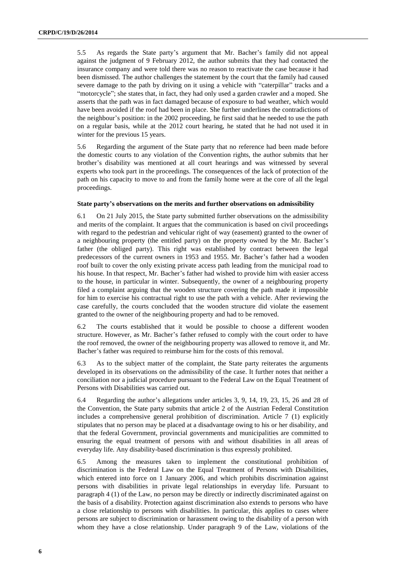5.5 As regards the State party's argument that Mr. Bacher's family did not appeal against the judgment of 9 February 2012, the author submits that they had contacted the insurance company and were told there was no reason to reactivate the case because it had been dismissed. The author challenges the statement by the court that the family had caused severe damage to the path by driving on it using a vehicle with "caterpillar" tracks and a "motorcycle"; she states that, in fact, they had only used a garden crawler and a moped. She asserts that the path was in fact damaged because of exposure to bad weather, which would have been avoided if the roof had been in place. She further underlines the contradictions of the neighbour's position: in the 2002 proceeding, he first said that he needed to use the path on a regular basis, while at the 2012 court hearing, he stated that he had not used it in winter for the previous 15 years.

5.6 Regarding the argument of the State party that no reference had been made before the domestic courts to any violation of the Convention rights, the author submits that her brother's disability was mentioned at all court hearings and was witnessed by several experts who took part in the proceedings. The consequences of the lack of protection of the path on his capacity to move to and from the family home were at the core of all the legal proceedings.

#### **State party's observations on the merits and further observations on admissibility**

6.1 On 21 July 2015, the State party submitted further observations on the admissibility and merits of the complaint. It argues that the communication is based on civil proceedings with regard to the pedestrian and vehicular right of way (easement) granted to the owner of a neighbouring property (the entitled party) on the property owned by the Mr. Bacher's father (the obliged party). This right was established by contract between the legal predecessors of the current owners in 1953 and 1955. Mr. Bacher's father had a wooden roof built to cover the only existing private access path leading from the municipal road to his house. In that respect, Mr. Bacher's father had wished to provide him with easier access to the house, in particular in winter. Subsequently, the owner of a neighbouring property filed a complaint arguing that the wooden structure covering the path made it impossible for him to exercise his contractual right to use the path with a vehicle. After reviewing the case carefully, the courts concluded that the wooden structure did violate the easement granted to the owner of the neighbouring property and had to be removed.

6.2 The courts established that it would be possible to choose a different wooden structure. However, as Mr. Bacher's father refused to comply with the court order to have the roof removed, the owner of the neighbouring property was allowed to remove it, and Mr. Bacher's father was required to reimburse him for the costs of this removal.

6.3 As to the subject matter of the complaint, the State party reiterates the arguments developed in its observations on the admissibility of the case. It further notes that neither a conciliation nor a judicial procedure pursuant to the Federal Law on the Equal Treatment of Persons with Disabilities was carried out.

6.4 Regarding the author's allegations under articles 3, 9, 14, 19, 23, 15, 26 and 28 of the Convention, the State party submits that article 2 of the Austrian Federal Constitution includes a comprehensive general prohibition of discrimination. Article 7 (1) explicitly stipulates that no person may be placed at a disadvantage owing to his or her disability, and that the federal Government, provincial governments and municipalities are committed to ensuring the equal treatment of persons with and without disabilities in all areas of everyday life. Any disability-based discrimination is thus expressly prohibited.

6.5 Among the measures taken to implement the constitutional prohibition of discrimination is the Federal Law on the Equal Treatment of Persons with Disabilities, which entered into force on 1 January 2006, and which prohibits discrimination against persons with disabilities in private legal relationships in everyday life. Pursuant to paragraph 4 (1) of the Law, no person may be directly or indirectly discriminated against on the basis of a disability. Protection against discrimination also extends to persons who have a close relationship to persons with disabilities. In particular, this applies to cases where persons are subject to discrimination or harassment owing to the disability of a person with whom they have a close relationship. Under paragraph 9 of the Law, violations of the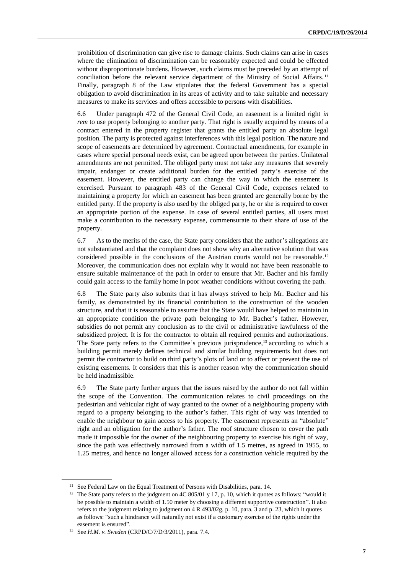prohibition of discrimination can give rise to damage claims. Such claims can arise in cases where the elimination of discrimination can be reasonably expected and could be effected without disproportionate burdens. However, such claims must be preceded by an attempt of conciliation before the relevant service department of the Ministry of Social Affairs.<sup>11</sup> Finally, paragraph 8 of the Law stipulates that the federal Government has a special obligation to avoid discrimination in its areas of activity and to take suitable and necessary measures to make its services and offers accessible to persons with disabilities.

6.6 Under paragraph 472 of the General Civil Code, an easement is a limited right *in rem* to use property belonging to another party. That right is usually acquired by means of a contract entered in the property register that grants the entitled party an absolute legal position. The party is protected against interferences with this legal position. The nature and scope of easements are determined by agreement. Contractual amendments, for example in cases where special personal needs exist, can be agreed upon between the parties. Unilateral amendments are not permitted. The obliged party must not take any measures that severely impair, endanger or create additional burden for the entitled party's exercise of the easement. However, the entitled party can change the way in which the easement is exercised. Pursuant to paragraph 483 of the General Civil Code, expenses related to maintaining a property for which an easement has been granted are generally borne by the entitled party. If the property is also used by the obliged party, he or she is required to cover an appropriate portion of the expense. In case of several entitled parties, all users must make a contribution to the necessary expense, commensurate to their share of use of the property.

6.7 As to the merits of the case, the State party considers that the author's allegations are not substantiated and that the complaint does not show why an alternative solution that was considered possible in the conclusions of the Austrian courts would not be reasonable.<sup>12</sup> Moreover, the communication does not explain why it would not have been reasonable to ensure suitable maintenance of the path in order to ensure that Mr. Bacher and his family could gain access to the family home in poor weather conditions without covering the path.

6.8 The State party also submits that it has always strived to help Mr. Bacher and his family, as demonstrated by its financial contribution to the construction of the wooden structure, and that it is reasonable to assume that the State would have helped to maintain in an appropriate condition the private path belonging to Mr. Bacher's father. However, subsidies do not permit any conclusion as to the civil or administrative lawfulness of the subsidized project. It is for the contractor to obtain all required permits and authorizations. The State party refers to the Committee's previous jurisprudence,<sup>13</sup> according to which a building permit merely defines technical and similar building requirements but does not permit the contractor to build on third party's plots of land or to affect or prevent the use of existing easements. It considers that this is another reason why the communication should be held inadmissible.

6.9 The State party further argues that the issues raised by the author do not fall within the scope of the Convention. The communication relates to civil proceedings on the pedestrian and vehicular right of way granted to the owner of a neighbouring property with regard to a property belonging to the author's father. This right of way was intended to enable the neighbour to gain access to his property. The easement represents an "absolute" right and an obligation for the author's father. The roof structure chosen to cover the path made it impossible for the owner of the neighbouring property to exercise his right of way, since the path was effectively narrowed from a width of 1.5 metres, as agreed in 1955, to 1.25 metres, and hence no longer allowed access for a construction vehicle required by the

<sup>&</sup>lt;sup>11</sup> See Federal Law on the Equal Treatment of Persons with Disabilities, para. 14.

<sup>&</sup>lt;sup>12</sup> The State party refers to the judgment on 4C 805/01 y 17, p. 10, which it quotes as follows: "would it be possible to maintain a width of 1.50 meter by choosing a different supportive construction". It also refers to the judgment relating to judgment on 4 R 493/02g, p. 10, para. 3 and p. 23, which it quotes as follows: "such a hindrance will naturally not exist if a customary exercise of the rights under the easement is ensured".

<sup>13</sup> See *H.M. v. Sweden* (CRPD/C/7/D/3/2011), para. 7.4.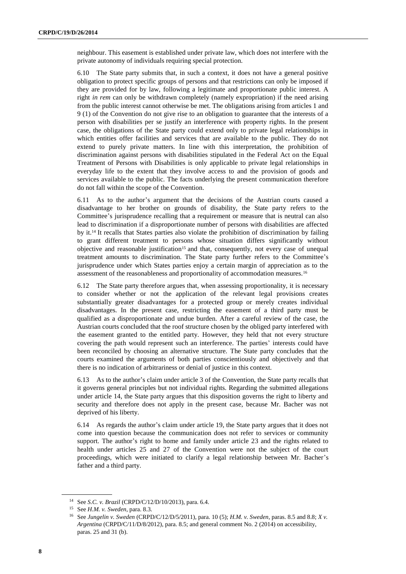neighbour. This easement is established under private law, which does not interfere with the private autonomy of individuals requiring special protection.

6.10 The State party submits that, in such a context, it does not have a general positive obligation to protect specific groups of persons and that restrictions can only be imposed if they are provided for by law, following a legitimate and proportionate public interest. A right *in rem* can only be withdrawn completely (namely expropriation) if the need arising from the public interest cannot otherwise be met. The obligations arising from articles 1 and 9 (1) of the Convention do not give rise to an obligation to guarantee that the interests of a person with disabilities per se justify an interference with property rights. In the present case, the obligations of the State party could extend only to private legal relationships in which entities offer facilities and services that are available to the public. They do not extend to purely private matters. In line with this interpretation, the prohibition of discrimination against persons with disabilities stipulated in the Federal Act on the Equal Treatment of Persons with Disabilities is only applicable to private legal relationships in everyday life to the extent that they involve access to and the provision of goods and services available to the public. The facts underlying the present communication therefore do not fall within the scope of the Convention.

6.11 As to the author's argument that the decisions of the Austrian courts caused a disadvantage to her brother on grounds of disability, the State party refers to the Committee's jurisprudence recalling that a requirement or measure that is neutral can also lead to discrimination if a disproportionate number of persons with disabilities are affected by it.<sup>14</sup> It recalls that States parties also violate the prohibition of discrimination by failing to grant different treatment to persons whose situation differs significantly without objective and reasonable justification<sup>15</sup> and that, consequently, not every case of unequal treatment amounts to discrimination. The State party further refers to the Committee's jurisprudence under which States parties enjoy a certain margin of appreciation as to the assessment of the reasonableness and proportionality of accommodation measures.<sup>16</sup>

6.12 The State party therefore argues that, when assessing proportionality, it is necessary to consider whether or not the application of the relevant legal provisions creates substantially greater disadvantages for a protected group or merely creates individual disadvantages. In the present case, restricting the easement of a third party must be qualified as a disproportionate and undue burden. After a careful review of the case, the Austrian courts concluded that the roof structure chosen by the obliged party interfered with the easement granted to the entitled party. However, they held that not every structure covering the path would represent such an interference. The parties' interests could have been reconciled by choosing an alternative structure. The State party concludes that the courts examined the arguments of both parties conscientiously and objectively and that there is no indication of arbitrariness or denial of justice in this context.

6.13 As to the author's claim under article 3 of the Convention, the State party recalls that it governs general principles but not individual rights. Regarding the submitted allegations under article 14, the State party argues that this disposition governs the right to liberty and security and therefore does not apply in the present case, because Mr. Bacher was not deprived of his liberty.

6.14 As regards the author's claim under article 19, the State party argues that it does not come into question because the communication does not refer to services or community support. The author's right to home and family under article 23 and the rights related to health under articles 25 and 27 of the Convention were not the subject of the court proceedings, which were initiated to clarify a legal relationship between Mr. Bacher's father and a third party.

<sup>14</sup> See *S.C. v. Brazil* (CRPD/C/12/D/10/2013), para. 6.4.

<sup>15</sup> See *H.M. v. Sweden*, para. 8.3.

<sup>16</sup> See *Jungelin v. Sweden* (CRPD/C/12/D/5/2011), para. 10 (5); *H.M. v. Sweden*, paras. 8.5 and 8.8; *X v. Argentina* (CRPD/C/11/D/8/2012), para. 8.5; and general comment No. 2 (2014) on accessibility, paras. 25 and 31 (b).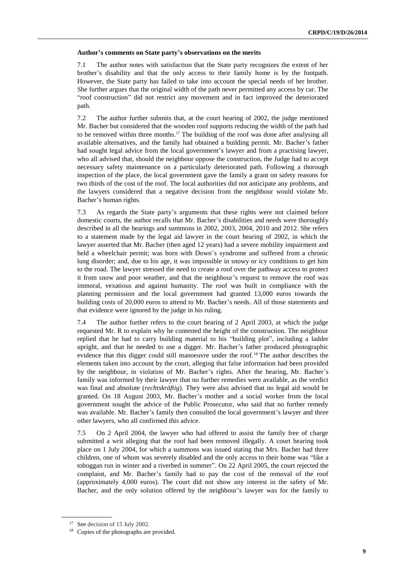#### **Author's comments on State party's observations on the merits**

7.1 The author notes with satisfaction that the State party recognizes the extent of her brother's disability and that the only access to their family home is by the footpath. However, the State party has failed to take into account the special needs of her brother. She further argues that the original width of the path never permitted any access by car. The "roof construction" did not restrict any movement and in fact improved the deteriorated path.

7.2 The author further submits that, at the court hearing of 2002, the judge mentioned Mr. Bacher but considered that the wooden roof supports reducing the width of the path had to be removed within three months.<sup>17</sup> The building of the roof was done after analysing all available alternatives, and the family had obtained a building permit. Mr. Bacher's father had sought legal advice from the local government's lawyer and from a practising lawyer, who all advised that, should the neighbour oppose the construction, the Judge had to accept necessary safety maintenance on a particularly deteriorated path. Following a thorough inspection of the place, the local government gave the family a grant on safety reasons for two thirds of the cost of the roof. The local authorities did not anticipate any problems, and the lawyers considered that a negative decision from the neighbour would violate Mr. Bacher's human rights.

7.3 As regards the State party's arguments that these rights were not claimed before domestic courts, the author recalls that Mr. Bacher's disabilities and needs were thoroughly described in all the hearings and summons in 2002, 2003, 2004, 2010 and 2012. She refers to a statement made by the legal aid lawyer in the court hearing of 2002, in which the lawyer asserted that Mr. Bacher (then aged 12 years) had a severe mobility impairment and held a wheelchair permit; was born with Down's syndrome and suffered from a chronic lung disorder; and, due to his age, it was impossible in snowy or icy conditions to get him to the road. The lawyer stressed the need to create a roof over the pathway access to protect it from snow and poor weather, and that the neighbour's request to remove the roof was immoral, vexatious and against humanity. The roof was built in compliance with the planning permission and the local government had granted 13,000 euros towards the building costs of 20,000 euros to attend to Mr. Bacher's needs. All of those statements and that evidence were ignored by the judge in his ruling.

7.4 The author further refers to the court hearing of 2 April 2003, at which the judge requested Mr. R to explain why he contested the height of the construction. The neighbour replied that he had to carry building material to his "building plot", including a ladder upright, and that he needed to use a digger. Mr. Bacher's father produced photographic evidence that this digger could still manoeuvre under the roof.<sup>18</sup> The author describes the elements taken into account by the court, alleging that false information had been provided by the neighbour, in violation of Mr. Bacher's rights. After the hearing, Mr. Bacher's family was informed by their lawyer that no further remedies were available, as the verdict was final and absolute (*rechtskräftig*). They were also advised that no legal aid would be granted. On 18 August 2003, Mr. Bacher's mother and a social worker from the local government sought the advice of the Public Prosecutor, who said that no further remedy was available. Mr. Bacher's family then consulted the local government's lawyer and three other lawyers, who all confirmed this advice.

7.5 On 2 April 2004, the lawyer who had offered to assist the family free of charge submitted a writ alleging that the roof had been removed illegally. A court hearing took place on 1 July 2004, for which a summons was issued stating that Mrs. Bacher had three children, one of whom was severely disabled and the only access to their home was "like a toboggan run in winter and a riverbed in summer". On 22 April 2005, the court rejected the complaint, and Mr. Bacher's family had to pay the cost of the removal of the roof (approximately 4,000 euros). The court did not show any interest in the safety of Mr. Bacher, and the only solution offered by the neighbour's lawyer was for the family to

<sup>&</sup>lt;sup>17</sup> See decision of 15 July 2002.

<sup>&</sup>lt;sup>18</sup> Copies of the photographs are provided.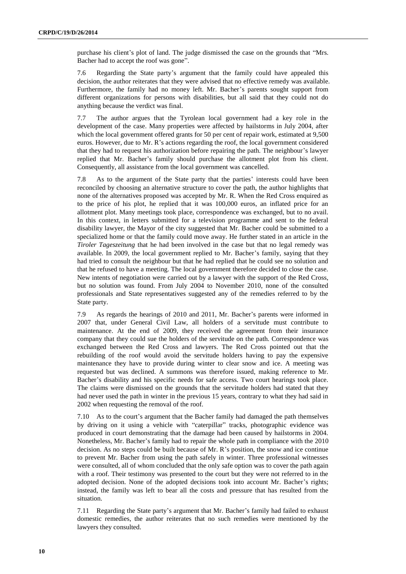purchase his client's plot of land. The judge dismissed the case on the grounds that "Mrs. Bacher had to accept the roof was gone".

7.6 Regarding the State party's argument that the family could have appealed this decision, the author reiterates that they were advised that no effective remedy was available. Furthermore, the family had no money left. Mr. Bacher's parents sought support from different organizations for persons with disabilities, but all said that they could not do anything because the verdict was final.

7.7 The author argues that the Tyrolean local government had a key role in the development of the case. Many properties were affected by hailstorms in July 2004, after which the local government offered grants for 50 per cent of repair work, estimated at 9,500 euros. However, due to Mr. R's actions regarding the roof, the local government considered that they had to request his authorization before repairing the path. The neighbour's lawyer replied that Mr. Bacher's family should purchase the allotment plot from his client. Consequently, all assistance from the local government was cancelled.

7.8 As to the argument of the State party that the parties' interests could have been reconciled by choosing an alternative structure to cover the path, the author highlights that none of the alternatives proposed was accepted by Mr. R. When the Red Cross enquired as to the price of his plot, he replied that it was 100,000 euros, an inflated price for an allotment plot. Many meetings took place, correspondence was exchanged, but to no avail. In this context, in letters submitted for a television programme and sent to the federal disability lawyer, the Mayor of the city suggested that Mr. Bacher could be submitted to a specialized home or that the family could move away. He further stated in an article in the *Tiroler Tageszeitung* that he had been involved in the case but that no legal remedy was available. In 2009, the local government replied to Mr. Bacher's family, saying that they had tried to consult the neighbour but that he had replied that he could see no solution and that he refused to have a meeting. The local government therefore decided to close the case. New intents of negotiation were carried out by a lawyer with the support of the Red Cross, but no solution was found. From July 2004 to November 2010, none of the consulted professionals and State representatives suggested any of the remedies referred to by the State party.

7.9 As regards the hearings of 2010 and 2011, Mr. Bacher's parents were informed in 2007 that, under General Civil Law, all holders of a servitude must contribute to maintenance. At the end of 2009, they received the agreement from their insurance company that they could sue the holders of the servitude on the path. Correspondence was exchanged between the Red Cross and lawyers. The Red Cross pointed out that the rebuilding of the roof would avoid the servitude holders having to pay the expensive maintenance they have to provide during winter to clear snow and ice. A meeting was requested but was declined. A summons was therefore issued, making reference to Mr. Bacher's disability and his specific needs for safe access. Two court hearings took place. The claims were dismissed on the grounds that the servitude holders had stated that they had never used the path in winter in the previous 15 years, contrary to what they had said in 2002 when requesting the removal of the roof.

7.10 As to the court's argument that the Bacher family had damaged the path themselves by driving on it using a vehicle with "caterpillar" tracks, photographic evidence was produced in court demonstrating that the damage had been caused by hailstorms in 2004. Nonetheless, Mr. Bacher's family had to repair the whole path in compliance with the 2010 decision. As no steps could be built because of Mr. R's position, the snow and ice continue to prevent Mr. Bacher from using the path safely in winter. Three professional witnesses were consulted, all of whom concluded that the only safe option was to cover the path again with a roof. Their testimony was presented to the court but they were not referred to in the adopted decision. None of the adopted decisions took into account Mr. Bacher's rights; instead, the family was left to bear all the costs and pressure that has resulted from the situation.

7.11 Regarding the State party's argument that Mr. Bacher's family had failed to exhaust domestic remedies, the author reiterates that no such remedies were mentioned by the lawyers they consulted.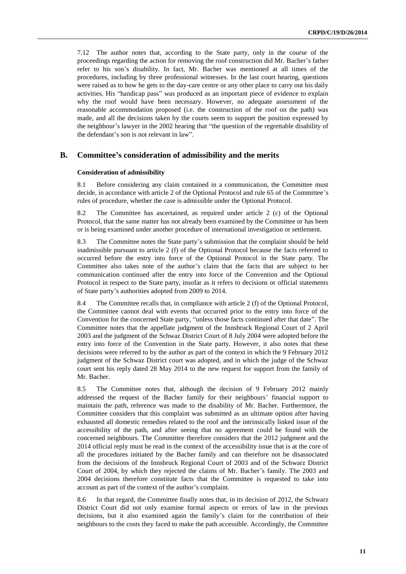7.12 The author notes that, according to the State party, only in the course of the proceedings regarding the action for removing the roof construction did Mr. Bacher's father refer to his son's disability. In fact, Mr. Bacher was mentioned at all times of the procedures, including by three professional witnesses. In the last court hearing, questions were raised as to how he gets to the day-care centre or any other place to carry out his daily activities. His "handicap pass" was produced as an important piece of evidence to explain why the roof would have been necessary. However, no adequate assessment of the reasonable accommodation proposed (i.e. the construction of the roof on the path) was made, and all the decisions taken by the courts seem to support the position expressed by the neighbour's lawyer in the 2002 hearing that "the question of the regrettable disability of the defendant's son is not relevant in law".

#### **B. Committee's consideration of admissibility and the merits**

#### **Consideration of admissibility**

8.1 Before considering any claim contained in a communication, the Committee must decide, in accordance with article 2 of the Optional Protocol and rule 65 of the Committee's rules of procedure, whether the case is admissible under the Optional Protocol.

8.2 The Committee has ascertained, as required under article 2 (c) of the Optional Protocol, that the same matter has not already been examined by the Committee or has been or is being examined under another procedure of international investigation or settlement.

8.3 The Committee notes the State party's submission that the complaint should be held inadmissible pursuant to article 2 (f) of the Optional Protocol because the facts referred to occurred before the entry into force of the Optional Protocol in the State party. The Committee also takes note of the author's claim that the facts that are subject to her communication continued after the entry into force of the Convention and the Optional Protocol in respect to the State party, insofar as it refers to decisions or official statements of State party's authorities adopted from 2009 to 2014.

8.4 The Committee recalls that, in compliance with article 2 (f) of the Optional Protocol, the Committee cannot deal with events that occurred prior to the entry into force of the Convention for the concerned State party, "unless those facts continued after that date". The Committee notes that the appellate judgment of the Innsbruck Regional Court of 2 April 2003 and the judgment of the Schwaz District Court of 8 July 2004 were adopted before the entry into force of the Convention in the State party. However, it also notes that these decisions were referred to by the author as part of the context in which the 9 February 2012 judgment of the Schwaz District court was adopted, and in which the judge of the Schwaz court sent his reply dated 28 May 2014 to the new request for support from the family of Mr. Bacher.

8.5 The Committee notes that, although the decision of 9 February 2012 mainly addressed the request of the Bacher family for their neighbours' financial support to maintain the path, reference was made to the disability of Mr. Bacher. Furthermore, the Committee considers that this complaint was submitted as an ultimate option after having exhausted all domestic remedies related to the roof and the intrinsically linked issue of the accessibility of the path, and after seeing that no agreement could be found with the concerned neighbours. The Committee therefore considers that the 2012 judgment and the 2014 official reply must be read in the context of the accessibility issue that is at the core of all the procedures initiated by the Bacher family and can therefore not be disassociated from the decisions of the Innsbruck Regional Court of 2003 and of the Schwarz District Court of 2004, by which they rejected the claims of Mr. Bacher's family. The 2003 and 2004 decisions therefore constitute facts that the Committee is requested to take into account as part of the context of the author's complaint.

8.6 In that regard, the Committee finally notes that, in its decision of 2012, the Schwarz District Court did not only examine formal aspects or errors of law in the previous decisions, but it also examined again the family's claim for the contribution of their neighbours to the costs they faced to make the path accessible. Accordingly, the Committee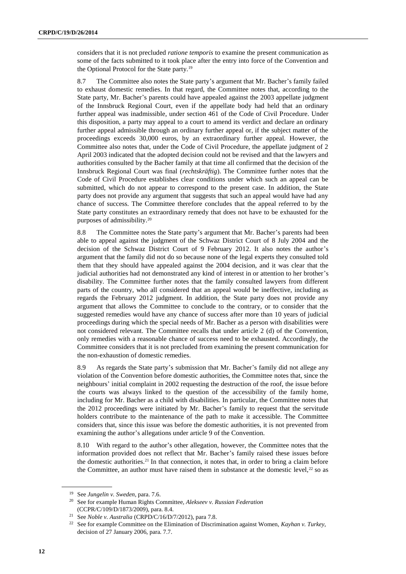considers that it is not precluded *ratione temporis* to examine the present communication as some of the facts submitted to it took place after the entry into force of the Convention and the Optional Protocol for the State party.<sup>19</sup>

8.7 The Committee also notes the State party's argument that Mr. Bacher's family failed to exhaust domestic remedies. In that regard, the Committee notes that, according to the State party, Mr. Bacher's parents could have appealed against the 2003 appellate judgment of the Innsbruck Regional Court, even if the appellate body had held that an ordinary further appeal was inadmissible, under section 461 of the Code of Civil Procedure. Under this disposition, a party may appeal to a court to amend its verdict and declare an ordinary further appeal admissible through an ordinary further appeal or, if the subject matter of the proceedings exceeds 30,000 euros, by an extraordinary further appeal. However, the Committee also notes that, under the Code of Civil Procedure, the appellate judgment of 2 April 2003 indicated that the adopted decision could not be revised and that the lawyers and authorities consulted by the Bacher family at that time all confirmed that the decision of the Innsbruck Regional Court was final (*rechtskräftig*). The Committee further notes that the Code of Civil Procedure establishes clear conditions under which such an appeal can be submitted, which do not appear to correspond to the present case. In addition, the State party does not provide any argument that suggests that such an appeal would have had any chance of success. The Committee therefore concludes that the appeal referred to by the State party constitutes an extraordinary remedy that does not have to be exhausted for the purposes of admissibility.<sup>20</sup>

8.8 The Committee notes the State party's argument that Mr. Bacher's parents had been able to appeal against the judgment of the Schwaz District Court of 8 July 2004 and the decision of the Schwaz District Court of 9 February 2012. It also notes the author's argument that the family did not do so because none of the legal experts they consulted told them that they should have appealed against the 2004 decision, and it was clear that the judicial authorities had not demonstrated any kind of interest in or attention to her brother's disability. The Committee further notes that the family consulted lawyers from different parts of the country, who all considered that an appeal would be ineffective, including as regards the February 2012 judgment. In addition, the State party does not provide any argument that allows the Committee to conclude to the contrary, or to consider that the suggested remedies would have any chance of success after more than 10 years of judicial proceedings during which the special needs of Mr. Bacher as a person with disabilities were not considered relevant. The Committee recalls that under article 2 (d) of the Convention, only remedies with a reasonable chance of success need to be exhausted. Accordingly, the Committee considers that it is not precluded from examining the present communication for the non-exhaustion of domestic remedies.

8.9 As regards the State party's submission that Mr. Bacher's family did not allege any violation of the Convention before domestic authorities, the Committee notes that, since the neighbours' initial complaint in 2002 requesting the destruction of the roof, the issue before the courts was always linked to the question of the accessibility of the family home, including for Mr. Bacher as a child with disabilities. In particular, the Committee notes that the 2012 proceedings were initiated by Mr. Bacher's family to request that the servitude holders contribute to the maintenance of the path to make it accessible. The Committee considers that, since this issue was before the domestic authorities, it is not prevented from examining the author's allegations under article 9 of the Convention.

8.10 With regard to the author's other allegation, however, the Committee notes that the information provided does not reflect that Mr. Bacher's family raised these issues before the domestic authorities.<sup>21</sup> In that connection, it notes that, in order to bring a claim before the Committee, an author must have raised them in substance at the domestic level, $22$  so as

<sup>19</sup> See *Jungelin v. Sweden*, para. 7.6.

<sup>20</sup> See for example Human Rights Committee, *Alekseev v. Russian Federation* (CCPR/C/109/D/1873/2009), para. 8.4.

<sup>21</sup> See *Noble v. Australia* (CRPD/C/16/D/7/2012), para 7.8.

<sup>22</sup> See for example Committee on the Elimination of Discrimination against Women, *Kayhan v. Turkey*, decision of 27 January 2006, para. 7.7.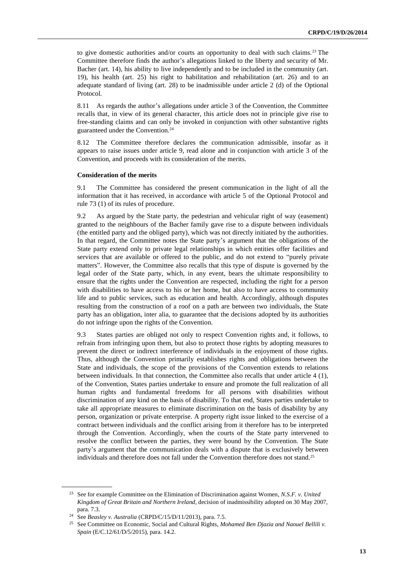to give domestic authorities and/or courts an opportunity to deal with such claims.<sup>23</sup> The Committee therefore finds the author's allegations linked to the liberty and security of Mr. Bacher (art. 14), his ability to live independently and to be included in the community (art. 19), his health (art. 25) his right to habilitation and rehabilitation (art. 26) and to an adequate standard of living (art. 28) to be inadmissible under article 2 (d) of the Optional Protocol.

8.11 As regards the author's allegations under article 3 of the Convention, the Committee recalls that, in view of its general character, this article does not in principle give rise to free-standing claims and can only be invoked in conjunction with other substantive rights guaranteed under the Convention.<sup>24</sup>

8.12 The Committee therefore declares the communication admissible, insofar as it appears to raise issues under article 9, read alone and in conjunction with article 3 of the Convention, and proceeds with its consideration of the merits.

#### **Consideration of the merits**

9.1 The Committee has considered the present communication in the light of all the information that it has received, in accordance with article 5 of the Optional Protocol and rule 73 (1) of its rules of procedure.

9.2 As argued by the State party, the pedestrian and vehicular right of way (easement) granted to the neighbours of the Bacher family gave rise to a dispute between individuals (the entitled party and the obliged party), which was not directly initiated by the authorities. In that regard, the Committee notes the State party's argument that the obligations of the State party extend only to private legal relationships in which entities offer facilities and services that are available or offered to the public, and do not extend to "purely private matters". However, the Committee also recalls that this type of dispute is governed by the legal order of the State party, which, in any event, bears the ultimate responsibility to ensure that the rights under the Convention are respected, including the right for a person with disabilities to have access to his or her home, but also to have access to community life and to public services, such as education and health. Accordingly, although disputes resulting from the construction of a roof on a path are between two individuals, the State party has an obligation, inter alia, to guarantee that the decisions adopted by its authorities do not infringe upon the rights of the Convention.

9.3 States parties are obliged not only to respect Convention rights and, it follows, to refrain from infringing upon them, but also to protect those rights by adopting measures to prevent the direct or indirect interference of individuals in the enjoyment of those rights. Thus, although the Convention primarily establishes rights and obligations between the State and individuals, the scope of the provisions of the Convention extends to relations between individuals. In that connection, the Committee also recalls that under article 4 (1), of the Convention, States parties undertake to ensure and promote the full realization of all human rights and fundamental freedoms for all persons with disabilities without discrimination of any kind on the basis of disability. To that end, States parties undertake to take all appropriate measures to eliminate discrimination on the basis of disability by any person, organization or private enterprise. A property right issue linked to the exercise of a contract between individuals and the conflict arising from it therefore has to be interpreted through the Convention. Accordingly, when the courts of the State party intervened to resolve the conflict between the parties, they were bound by the Convention. The State party's argument that the communication deals with a dispute that is exclusively between individuals and therefore does not fall under the Convention therefore does not stand.<sup>25</sup>

<sup>23</sup> See for example Committee on the Elimination of Discrimination against Women, *N.S.F. v. United Kingdom of Great Britain and Northern Ireland*, decision of inadmissibility adopted on 30 May 2007, para. 7.3.

<sup>24</sup> See *Beasley v. Australia* (CRPD/C/15/D/11/2013), para. 7.5.

<sup>25</sup> See Committee on Economic, Social and Cultural Rights, *Mohamed Ben Djazia and Naouel Bellili v. Spain* (E/C.12/61/D/5/2015), para. 14.2.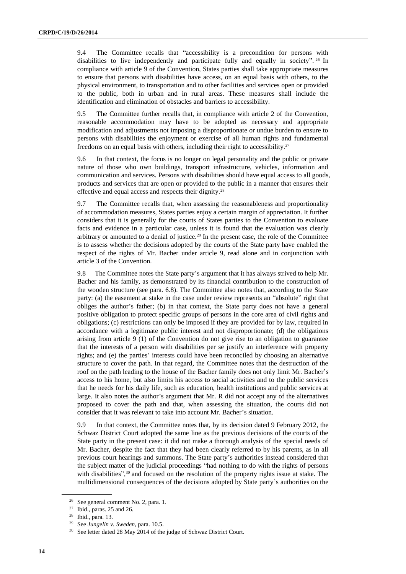9.4 The Committee recalls that "accessibility is a precondition for persons with disabilities to live independently and participate fully and equally in society". <sup>26</sup> In compliance with article 9 of the Convention, States parties shall take appropriate measures to ensure that persons with disabilities have access, on an equal basis with others, to the physical environment, to transportation and to other facilities and services open or provided to the public, both in urban and in rural areas. These measures shall include the identification and elimination of obstacles and barriers to accessibility.

9.5 The Committee further recalls that, in compliance with article 2 of the Convention, reasonable accommodation may have to be adopted as necessary and appropriate modification and adjustments not imposing a disproportionate or undue burden to ensure to persons with disabilities the enjoyment or exercise of all human rights and fundamental freedoms on an equal basis with others, including their right to accessibility.<sup>27</sup>

9.6 In that context, the focus is no longer on legal personality and the public or private nature of those who own buildings, transport infrastructure, vehicles, information and communication and services. Persons with disabilities should have equal access to all goods, products and services that are open or provided to the public in a manner that ensures their effective and equal access and respects their dignity.<sup>28</sup>

9.7 The Committee recalls that, when assessing the reasonableness and proportionality of accommodation measures, States parties enjoy a certain margin of appreciation. It further considers that it is generally for the courts of States parties to the Convention to evaluate facts and evidence in a particular case, unless it is found that the evaluation was clearly arbitrary or amounted to a denial of justice.<sup>29</sup> In the present case, the role of the Committee is to assess whether the decisions adopted by the courts of the State party have enabled the respect of the rights of Mr. Bacher under article 9, read alone and in conjunction with article 3 of the Convention.

9.8 The Committee notes the State party's argument that it has always strived to help Mr. Bacher and his family, as demonstrated by its financial contribution to the construction of the wooden structure (see para. 6.8). The Committee also notes that, according to the State party: (a) the easement at stake in the case under review represents an "absolute" right that obliges the author's father; (b) in that context, the State party does not have a general positive obligation to protect specific groups of persons in the core area of civil rights and obligations; (c) restrictions can only be imposed if they are provided for by law, required in accordance with a legitimate public interest and not disproportionate; (d) the obligations arising from article 9 (1) of the Convention do not give rise to an obligation to guarantee that the interests of a person with disabilities per se justify an interference with property rights; and (e) the parties' interests could have been reconciled by choosing an alternative structure to cover the path. In that regard, the Committee notes that the destruction of the roof on the path leading to the house of the Bacher family does not only limit Mr. Bacher's access to his home, but also limits his access to social activities and to the public services that he needs for his daily life, such as education, health institutions and public services at large. It also notes the author's argument that Mr. R did not accept any of the alternatives proposed to cover the path and that, when assessing the situation, the courts did not consider that it was relevant to take into account Mr. Bacher's situation.

9.9 In that context, the Committee notes that, by its decision dated 9 February 2012, the Schwaz District Court adopted the same line as the previous decisions of the courts of the State party in the present case: it did not make a thorough analysis of the special needs of Mr. Bacher, despite the fact that they had been clearly referred to by his parents, as in all previous court hearings and summons. The State party's authorities instead considered that the subject matter of the judicial proceedings "had nothing to do with the rights of persons with disabilities",<sup>30</sup> and focused on the resolution of the property rights issue at stake. The multidimensional consequences of the decisions adopted by State party's authorities on the

<sup>26</sup> See general comment No. 2, para. 1.

<sup>27</sup> Ibid., paras. 25 and 26.

<sup>28</sup> Ibid., para. 13.

<sup>29</sup> See *Jungelin v. Sweden*, para. 10.5.

<sup>&</sup>lt;sup>30</sup> See letter dated 28 May 2014 of the judge of Schwaz District Court.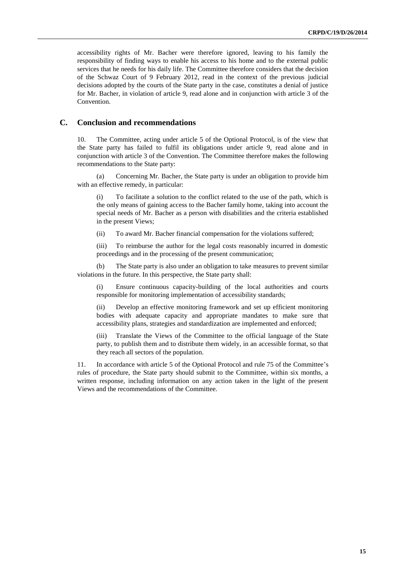accessibility rights of Mr. Bacher were therefore ignored, leaving to his family the responsibility of finding ways to enable his access to his home and to the external public services that he needs for his daily life. The Committee therefore considers that the decision of the Schwaz Court of 9 February 2012, read in the context of the previous judicial decisions adopted by the courts of the State party in the case, constitutes a denial of justice for Mr. Bacher, in violation of article 9, read alone and in conjunction with article 3 of the **Convention** 

#### **C. Conclusion and recommendations**

10. The Committee, acting under article 5 of the Optional Protocol, is of the view that the State party has failed to fulfil its obligations under article 9, read alone and in conjunction with article 3 of the Convention. The Committee therefore makes the following recommendations to the State party:

(a) Concerning Mr. Bacher, the State party is under an obligation to provide him with an effective remedy, in particular:

(i) To facilitate a solution to the conflict related to the use of the path, which is the only means of gaining access to the Bacher family home, taking into account the special needs of Mr. Bacher as a person with disabilities and the criteria established in the present Views;

(ii) To award Mr. Bacher financial compensation for the violations suffered;

(iii) To reimburse the author for the legal costs reasonably incurred in domestic proceedings and in the processing of the present communication;

(b) The State party is also under an obligation to take measures to prevent similar violations in the future. In this perspective, the State party shall:

(i) Ensure continuous capacity-building of the local authorities and courts responsible for monitoring implementation of accessibility standards;

(ii) Develop an effective monitoring framework and set up efficient monitoring bodies with adequate capacity and appropriate mandates to make sure that accessibility plans, strategies and standardization are implemented and enforced;

Translate the Views of the Committee to the official language of the State party, to publish them and to distribute them widely, in an accessible format, so that they reach all sectors of the population.

11. In accordance with article 5 of the Optional Protocol and rule 75 of the Committee's rules of procedure, the State party should submit to the Committee, within six months, a written response, including information on any action taken in the light of the present Views and the recommendations of the Committee.